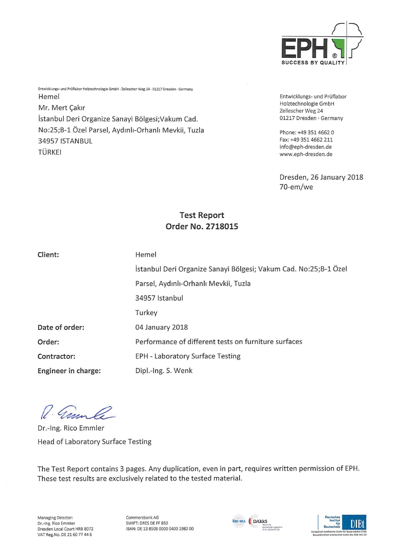

Entwicklungs- und Prüflabor Holztechnologie GmbH • Zellescher Weg 24 • 01217 Dresden • Germany Hemel Mr. Mert Cakir Istanbul Deri Organize Sanayi Bölgesi;Vakum Cad. No:25;B-1 Özel Parsel, Aydınlı-Orhanlı Mevkii, Tuzla 34957 ISTANBUL TÜRKEI

Entwicklungs- und Prüflabor Holztechnologie GmbH Zellescher Weg 24 01217 Dresden • Germany

Phone: +49 351 4662 0 Fax:+49 3514662 211 info@eph-dresden.de www.eph-dresden.de

Dresden, 26 January 2018 70-em/we

# Test Report Order No. 2718015

Client: Hemel

| Hemel |  |  |  |
|-------|--|--|--|
|       |  |  |  |

Istanbul Deri Organize Sanayi Bölgesi; Vakum Cad. No:25;B-l Özel Parsel, Aydmli-Orhanli Mevkii, Tuzla 34957 Istanbul Turkey Date of order: 04 January 2018 Order: Performance of different tests on furniture surfaces Contractor: EPH - Laboratory Surface Testing Engineer in Charge: Dipl.-Ing. S. Wenk

Carn le

Dr.-Ing. Rico Emmler Head of Laboratory Surface Testing

The Test Report contains 3 pages. Any duplication, even in part, requires written permission of EPH. These test results are exclusively related to the tested material.

Commerzbank AG SWIFT: DRES DE FF 850 IBAN: DE 13 8508 0000 0400 2982 00



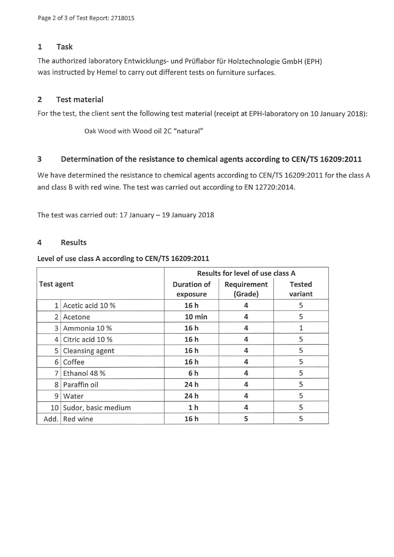### 1 Task

The authorized laboratory Entwicklungs- und Prüflabor für Holztechnologie GmbH (EPH) was instructed by Hemel to carry out different tests on furniture surfaces.

# 2 Test material

For the test, the client sent the following test material (receipt at EPH-laboratory on 10 January 2018):

Oak Wood with Wood oil 2C "natural"

### 3 Determination of the resistance to chemical agents according to CEN/TS 16209:2011

We have determined the resistance to chemical agents according to CEN/TS 16209:2011 for the class A and class B with red wine. The test was carried out according to EN 12720:2014.

The test was carried out: 17 January  $-$  19 January 2018

### 4 Results

#### Level of use class A according to CEN/TS 16209:2011

|                 |                     | Results for level of use class A |             |               |  |  |
|-----------------|---------------------|----------------------------------|-------------|---------------|--|--|
| Test agent      |                     | <b>Duration of</b>               | Requirement | <b>Tested</b> |  |  |
|                 |                     | exposure                         | (Grade)     | variant       |  |  |
| $\mathbf{1}$    | Acetic acid 10 %    | 16 h                             | 4           | 5             |  |  |
| 2               | Acetone             | 10 min                           | 4           | 5             |  |  |
| $\overline{3}$  | Ammonia 10 %        | 16h                              | 4           | 1             |  |  |
| $\vert$         | Citric acid 10 %    | 16h                              | 4           | 5             |  |  |
| 5 <sup>1</sup>  | Cleansing agent     | 16 h                             | 4           | 5             |  |  |
| 6               | Coffee              | 16 h                             | 4           | 5             |  |  |
| $\overline{7}$  | Ethanol 48 %        | 6h                               | 4           | 5             |  |  |
| 8 <sup>1</sup>  | Paraffin oil        | 24 h                             | 4           | 5             |  |  |
| 9               | Water               | 24 h                             | 4           | 5             |  |  |
| 10 <sup>1</sup> | Sudor, basic medium | 1 <sub>h</sub>                   | 4           | 5             |  |  |
| Add.            | Red wine            | 16h                              | 5           | 5             |  |  |